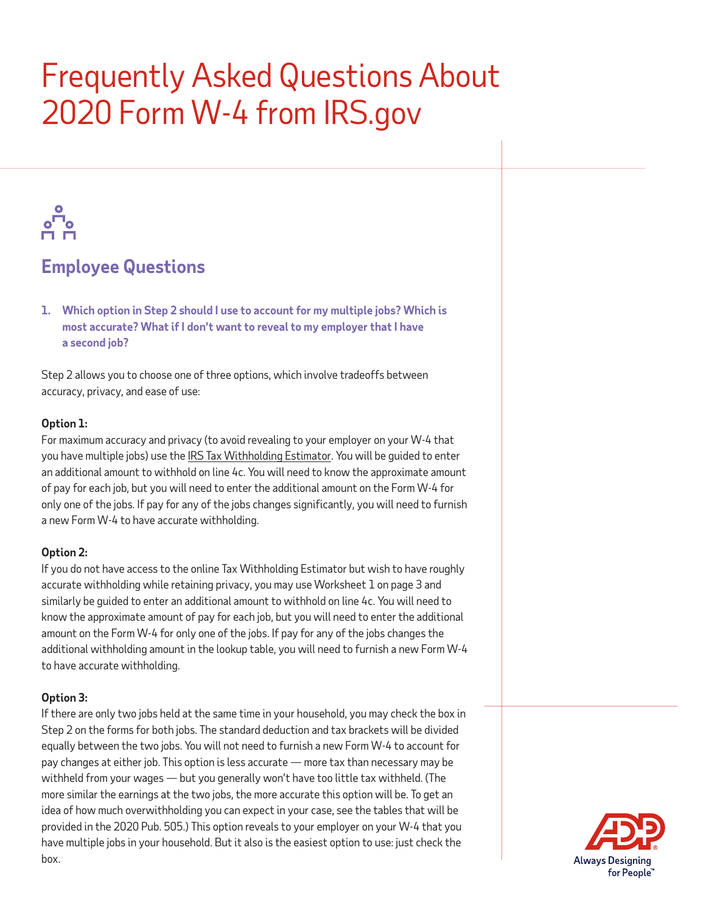# Frequently Asked Questions About 2020 Form W-4 from IRS.gov



### **Employee Questions**

**1. Which option in Step 2 should I use to account for my multiple jobs? Which is most accurate? What if I don't want to reveal to my employer that I have a second job?**

Step 2 allows you to choose one of three options, which involve tradeoffs between accuracy, privacy, and ease of use:

#### **Option 1:**

For maximum accuracy and privacy (to avoid revealing to your employer on your W-4 that you have multiple jobs) use the [IRS Tax Withholding Estimator](https://www.irs.gov/individuals/tax-withholding-estimator). You will be guided to enter an additional amount to withhold on line 4c. You will need to know the approximate amount of pay for each job, but you will need to enter the additional amount on the Form W-4 for only one of the jobs. If pay for any of the jobs changes significantly, you will need to furnish a new Form W-4 to have accurate withholding.

#### **Option 2:**

If you do not have access to the online Tax Withholding Estimator but wish to have roughly accurate withholding while retaining privacy, you may use Worksheet 1 on page 3 and similarly be guided to enter an additional amount to withhold on line 4c. You will need to know the approximate amount of pay for each job, but you will need to enter the additional amount on the Form W-4 for only one of the jobs. If pay for any of the jobs changes the additional withholding amount in the lookup table, you will need to furnish a new Form W-4 to have accurate withholding.

#### **Option 3:**

If there are only two jobs held at the same time in your household, you may check the box in Step 2 on the forms for both jobs. The standard deduction and tax brackets will be divided equally between the two jobs. You will not need to furnish a new Form W-4 to account for pay changes at either job. This option is less accurate — more tax than necessary may be withheld from your wages — but you generally won't have too little tax withheld. (The more similar the earnings at the two jobs, the more accurate this option will be. To get an idea of how much overwithholding you can expect in your case, see the tables that will be provided in the 2020 Pub. 505.) This option reveals to your employer on your W-4 that you have multiple jobs in your household. But it also is the easiest option to use: just check the box.